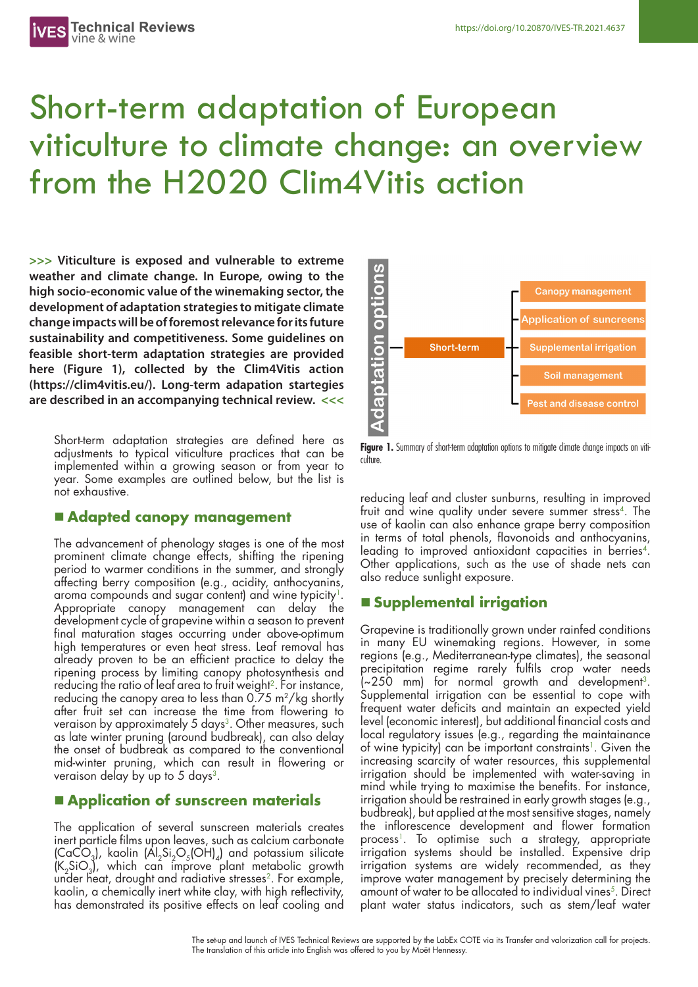# Short-term adaptation of European viticulture to climate change: an overview from the H2020 Clim4Vitis action

**>>> Viticulture is exposed and vulnerable to extreme weather and climate change. In Europe, owing to the high socio-economic value of the winemaking sector, the development of adaptation strategies to mitigate climate change impacts will be of foremost relevance for its future sustainability and competitiveness. Some guidelines on feasible short-term adaptation strategies are provided here (Figure 1), collected by the Clim4Vitis action (https://clim4vitis.eu/). Long-term adapation startegies are described in an accompanying technical review. <<<**

Short-term adaptation strategies are defined here as adjustments to typical viticulture practices that can be implemented within a growing season or from year to year. Some examples are outlined below, but the list is not exhaustive.

### n **Adapted canopy management**

The advancement of phenology stages is one of the most prominent climate change effects, shifting the ripening period to warmer conditions in the summer, and strongly affecting berry composition (e.g., acidity, anthocyanins, aroma compounds and sugar content) and wine typicity<sup>1</sup>. Appropriate canopy management can delay the development cycle of grapevine within a season to prevent final maturation stages occurring under above-optimum high temperatures or even heat stress. Leaf removal has already proven to be an efficient practice to delay the ripening process by limiting canopy photosynthesis and reducing the ratio of leaf area to fruit weight<sup>2</sup>. For instance, reducing the canopy area to less than 0.75 m<sup>2</sup>/kg shortly after fruit set can increase the time from flowering to veraison by approximately 5 days<sup>3</sup>. Other measures, such as late winter pruning (around budbreak), can also delay the onset of budbreak as compared to the conventional mid-winter pruning, which can result in flowering or veraison delay by up to 5 days<sup>3</sup>.

# n **Application of sunscreen materials**

The application of several sunscreen materials creates inert particle films upon leaves, such as calcium carbonate  $\left(\text{CaCO}_{3}\right)$ , kaolin  $\left(\text{Al}_2\text{Si}_2\text{O}_5(\text{OH})_4\right)$  and potassium silicate  $(K_2SiO_3)$ , which can improve plant metabolic growth under heat, drought and radiative stresses<sup>2</sup>. For example, kaolin, a chemically inert white clay, with high reflectivity, has demonstrated its positive effects on leaf cooling and



**Figure 1.** Summary of short-term adaptation options to mitigate climate change impacts on viticulture.

reducing leaf and cluster sunburns, resulting in improved fruit and wine quality under severe summer stress<sup>4</sup>. The use of kaolin can also enhance grape berry composition in terms of total phenols, flavonoids and anthocyanins, leading to improved antioxidant capacities in berries<sup>4</sup>. Other applications, such as the use of shade nets can also reduce sunlight exposure.

# n **Supplemental irrigation**

Grapevine is traditionally grown under rainfed conditions in many EU winemaking regions. However, in some regions (e.g., Mediterranean-type climates), the seasonal precipitation regime rarely fulfils crop water needs  $(-250 \text{ mm})$  for normal growth and development<sup>3</sup>. Supplemental irrigation can be essential to cope with frequent water deficits and maintain an expected yield level (economic interest), but additional financial costs and local regulatory issues (e.g., regarding the maintainance of wine typicity) can be important constraints<sup>1</sup>. Given the increasing scarcity of water resources, this supplemental irrigation should be implemented with water-saving in mind while trying to maximise the benefits. For instance, irrigation should be restrained in early growth stages (e.g., budbreak), but applied at the most sensitive stages, namely the inflorescence development and flower formation process<sup>1</sup>. To optimise such a strategy, appropriate irrigation systems should be installed. Expensive drip irrigation systems are widely recommended, as they improve water management by precisely determining the amount of water to be allocated to individual vines<sup>5</sup>. Direct plant water status indicators, such as stem/leaf water